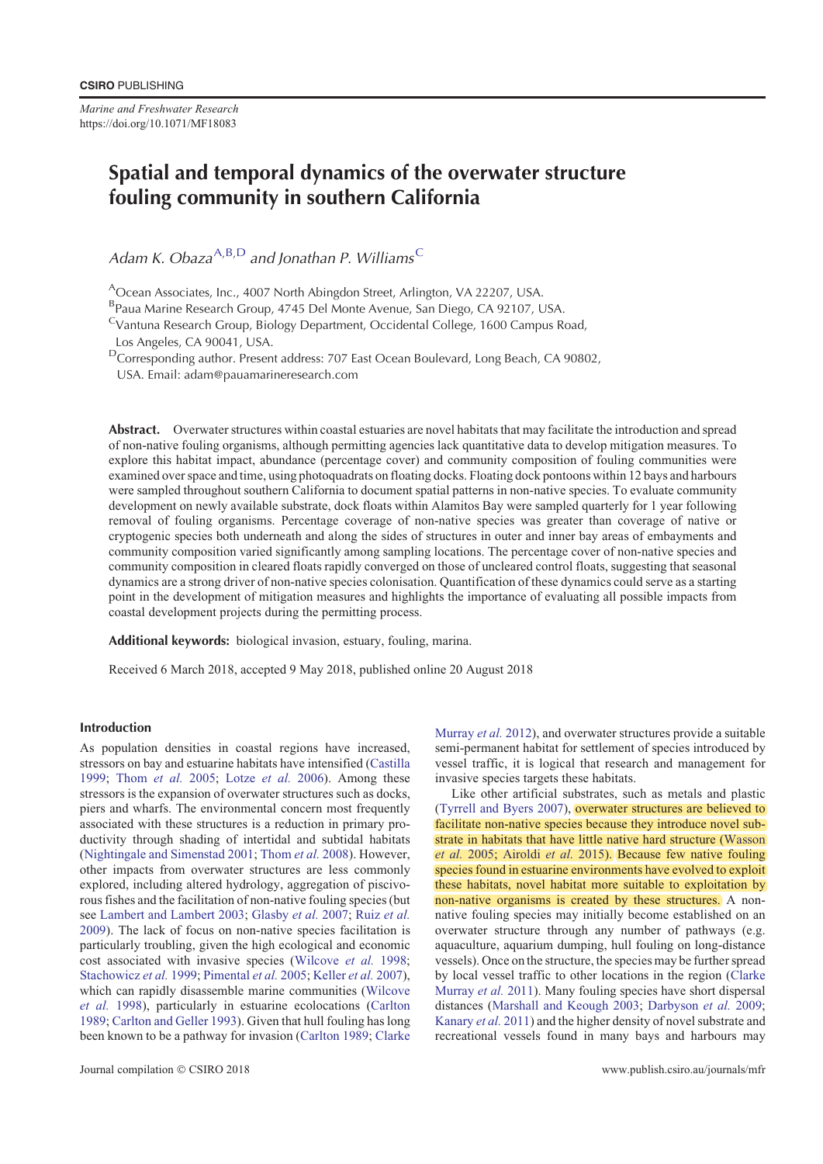*Marine and Freshwater Research* https://doi.org/10.1071/MF18083

# **Spatial and temporal dynamics of the overwater structure fouling community in southern California**

Adam K. Obaza<sup>A,B,D</sup> and *Jonathan P. Williams*<sup>C</sup>

AOcean Associates, Inc., 4007 North Abingdon Street, Arlington, VA 22207, USA.

<sup>B</sup>Paua Marine Research Group, 4745 Del Monte Avenue, San Diego, CA 92107, USA.

CVantuna Research Group, Biology Department, Occidental College, 1600 Campus Road, Los Angeles, CA 90041, USA.

DCorresponding author. Present address: 707 East Ocean Boulevard, Long Beach, CA 90802, USA. Email: adam@pauamarineresearch.com

**Abstract.** Overwater structures within coastal estuaries are novel habitats that may facilitate the introduction and spread of non-native fouling organisms, although permitting agencies lack quantitative data to develop mitigation measures. To explore this habitat impact, abundance (percentage cover) and community composition of fouling communities were examined over space and time, using photoquadrats on floating docks. Floating dock pontoons within 12 bays and harbours were sampled throughout southern California to document spatial patterns in non-native species. To evaluate community development on newly available substrate, dock floats within Alamitos Bay were sampled quarterly for 1 year following removal of fouling organisms. Percentage coverage of non-native species was greater than coverage of native or cryptogenic species both underneath and along the sides of structures in outer and inner bay areas of embayments and community composition varied significantly among sampling locations. The percentage cover of non-native species and community composition in cleared floats rapidly converged on those of uncleared control floats, suggesting that seasonal dynamics are a strong driver of non-native species colonisation. Quantification of these dynamics could serve as a starting point in the development of mitigation measures and highlights the importance of evaluating all possible impacts from coastal development projects during the permitting process.

**Additional keywords:** biological invasion, estuary, fouling, marina.

Received 6 March 2018, accepted 9 May 2018, published online 20 August 2018

## **Introduction**

As population densities in coastal regions have increased, stressors on bay and estuarine habitats have intensified ([Castilla](#page-8-0) [1999;](#page-8-0) [Thom](#page-10-0) *et al.* 2005; [Lotze](#page-9-0) *et al.* 2006). Among these stressors is the expansion of overwater structures such as docks, piers and wharfs. The environmental concern most frequently associated with these structures is a reduction in primary productivity through shading of intertidal and subtidal habitats ([Nightingale and Simenstad 2001;](#page-9-0) [Thom](#page-10-0) *et al.* 2008). However, other impacts from overwater structures are less commonly explored, including altered hydrology, aggregation of piscivorous fishes and the facilitation of non-native fouling species (but see [Lambert and Lambert 2003;](#page-9-0) [Glasby](#page-8-0) *et al.* 2007; Ruiz *[et al.](#page-9-0)* [2009\)](#page-9-0). The lack of focus on non-native species facilitation is particularly troubling, given the high ecological and economic cost associated with invasive species [\(Wilcove](#page-10-0) *et al.* 1998; [Stachowicz](#page-9-0) *et al.* 1999; [Pimental](#page-9-0) *et al.* 2005; [Keller](#page-9-0) *et al.* 2007), which can rapidly disassemble marine communities ([Wilcove](#page-10-0) *[et al.](#page-10-0)* 1998), particularly in estuarine ecolocations [\(Carlton](#page-8-0) [1989;](#page-8-0) [Carlton and Geller 1993](#page-8-0)). Given that hull fouling has long been known to be a pathway for invasion [\(Carlton 1989;](#page-8-0) [Clarke](#page-8-0) [Murray](#page-8-0) *et al.* 2012), and overwater structures provide a suitable semi-permanent habitat for settlement of species introduced by vessel traffic, it is logical that research and management for invasive species targets these habitats.

Like other artificial substrates, such as metals and plastic ([Tyrrell and Byers 2007\)](#page-10-0), overwater structures are believed to facilitate non-native species because they introduce novel substrate in habitats that have little native hard structure ([Wasson](#page-10-0) *[et al.](#page-10-0)* 2005; [Airoldi](#page-8-0) *et al.* 2015). Because few native fouling species found in estuarine environments have evolved to exploit these habitats, novel habitat more suitable to exploitation by non-native organisms is created by these structures. A nonnative fouling species may initially become established on an overwater structure through any number of pathways (e.g. aquaculture, aquarium dumping, hull fouling on long-distance vessels). Once on the structure, the species may be further spread by local vessel traffic to other locations in the region ([Clarke](#page-8-0) [Murray](#page-8-0) *et al.* 2011). Many fouling species have short dispersal distances [\(Marshall and Keough 2003;](#page-9-0) [Darbyson](#page-8-0) *et al.* 2009; [Kanary](#page-9-0) *et al.* 2011) and the higher density of novel substrate and recreational vessels found in many bays and harbours may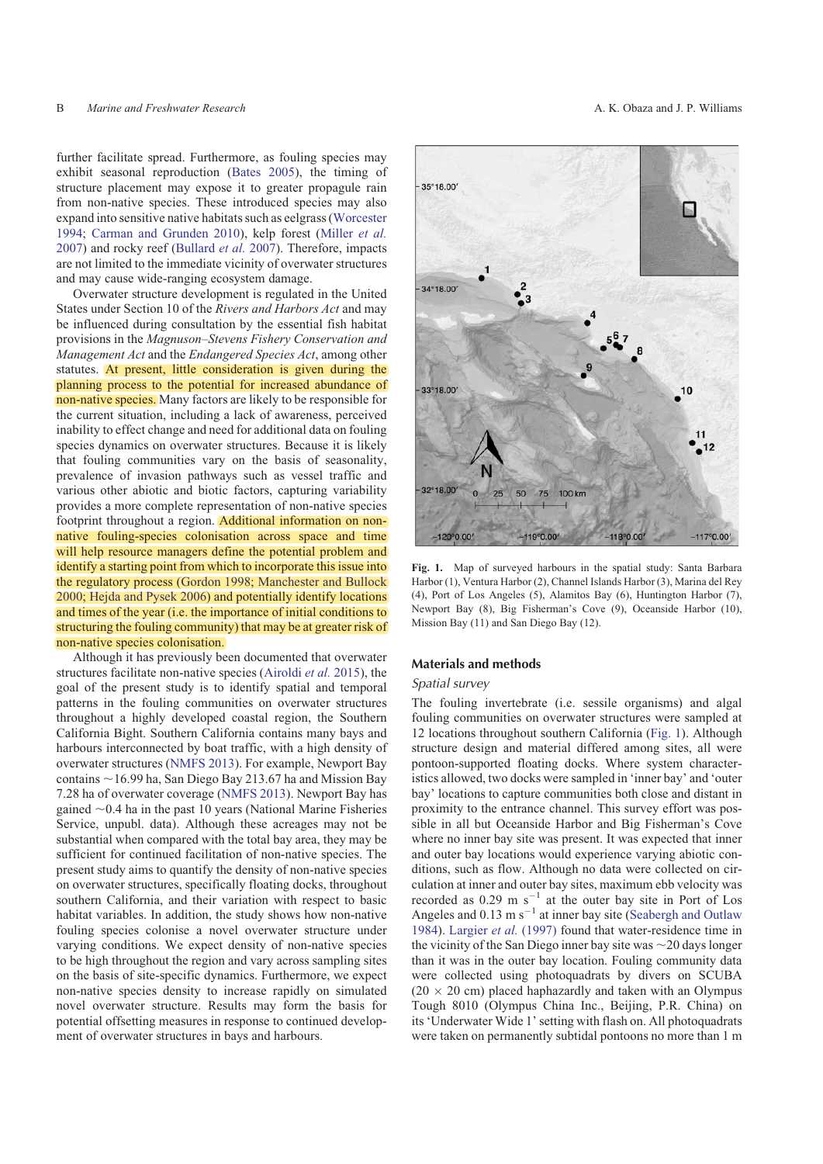further facilitate spread. Furthermore, as fouling species may exhibit seasonal reproduction ([Bates 2005](#page-8-0)), the timing of structure placement may expose it to greater propagule rain from non-native species. These introduced species may also expand into sensitive native habitats such as eelgrass ([Worcester](#page-10-0) [1994;](#page-10-0) [Carman and Grunden 2010\)](#page-8-0), kelp forest ([Miller](#page-9-0) *et al.* [2007\)](#page-9-0) and rocky reef [\(Bullard](#page-8-0) *et al.* 2007). Therefore, impacts are not limited to the immediate vicinity of overwater structures and may cause wide-ranging ecosystem damage.

Overwater structure development is regulated in the United States under Section 10 of the *Rivers and Harbors Act* and may be influenced during consultation by the essential fish habitat provisions in the *Magnuson–Stevens Fishery Conservation and Management Act* and the *Endangered Species Act*, among other statutes. At present, little consideration is given during the planning process to the potential for increased abundance of non-native species. Many factors are likely to be responsible for the current situation, including a lack of awareness, perceived inability to effect change and need for additional data on fouling species dynamics on overwater structures. Because it is likely that fouling communities vary on the basis of seasonality, prevalence of invasion pathways such as vessel traffic and various other abiotic and biotic factors, capturing variability provides a more complete representation of non-native species footprint throughout a region. Additional information on nonnative fouling-species colonisation across space and time will help resource managers define the potential problem and identify a starting point from which to incorporate this issue into the regulatory process ([Gordon 1998](#page-8-0); [Manchester and Bullock](#page-9-0) [2000;](#page-9-0) [Hejda and Pysek 2006](#page-8-0)) and potentially identify locations and times of the year (i.e. the importance of initial conditions to structuring the fouling community) that may be at greater risk of non-native species colonisation.

Although it has previously been documented that overwater structures facilitate non-native species [\(Airoldi](#page-8-0) *et al.* 2015), the goal of the present study is to identify spatial and temporal patterns in the fouling communities on overwater structures throughout a highly developed coastal region, the Southern California Bight. Southern California contains many bays and harbours interconnected by boat traffic, with a high density of overwater structures [\(NMFS 2013\)](#page-9-0). For example, Newport Bay contains  $\sim$  16.99 ha, San Diego Bay 213.67 ha and Mission Bay 7.28 ha of overwater coverage [\(NMFS 2013](#page-9-0)). Newport Bay has gained  $\sim$  0.4 ha in the past 10 years (National Marine Fisheries Service, unpubl. data). Although these acreages may not be substantial when compared with the total bay area, they may be sufficient for continued facilitation of non-native species. The present study aims to quantify the density of non-native species on overwater structures, specifically floating docks, throughout southern California, and their variation with respect to basic habitat variables. In addition, the study shows how non-native fouling species colonise a novel overwater structure under varying conditions. We expect density of non-native species to be high throughout the region and vary across sampling sites on the basis of site-specific dynamics. Furthermore, we expect non-native species density to increase rapidly on simulated novel overwater structure. Results may form the basis for potential offsetting measures in response to continued development of overwater structures in bays and harbours.



**Fig. 1.** Map of surveyed harbours in the spatial study: Santa Barbara Harbor (1), Ventura Harbor (2), Channel Islands Harbor (3), Marina del Rey (4), Port of Los Angeles (5), Alamitos Bay (6), Huntington Harbor (7), Newport Bay (8), Big Fisherman's Cove (9), Oceanside Harbor (10), Mission Bay (11) and San Diego Bay (12).

## **Materials and methods**

#### *Spatial survey*

The fouling invertebrate (i.e. sessile organisms) and algal fouling communities on overwater structures were sampled at 12 locations throughout southern California (Fig. 1). Although structure design and material differed among sites, all were pontoon-supported floating docks. Where system characteristics allowed, two docks were sampled in 'inner bay' and 'outer bay' locations to capture communities both close and distant in proximity to the entrance channel. This survey effort was possible in all but Oceanside Harbor and Big Fisherman's Cove where no inner bay site was present. It was expected that inner and outer bay locations would experience varying abiotic conditions, such as flow. Although no data were collected on circulation at inner and outer bay sites, maximum ebb velocity was recorded as  $0.29 \text{ m s}^{-1}$  at the outer bay site in Port of Los Angeles and  $0.13 \text{ m s}^{-1}$  at inner bay site ([Seabergh and Outlaw](#page-9-0) [1984\)](#page-9-0). [Largier](#page-9-0) *et al.* (1997) found that water-residence time in the vicinity of the San Diego inner bay site was  $\sim$  20 days longer than it was in the outer bay location. Fouling community data were collected using photoquadrats by divers on SCUBA  $(20 \times 20 \text{ cm})$  placed haphazardly and taken with an Olympus Tough 8010 (Olympus China Inc., Beijing, P.R. China) on its 'Underwater Wide 1' setting with flash on. All photoquadrats were taken on permanently subtidal pontoons no more than 1 m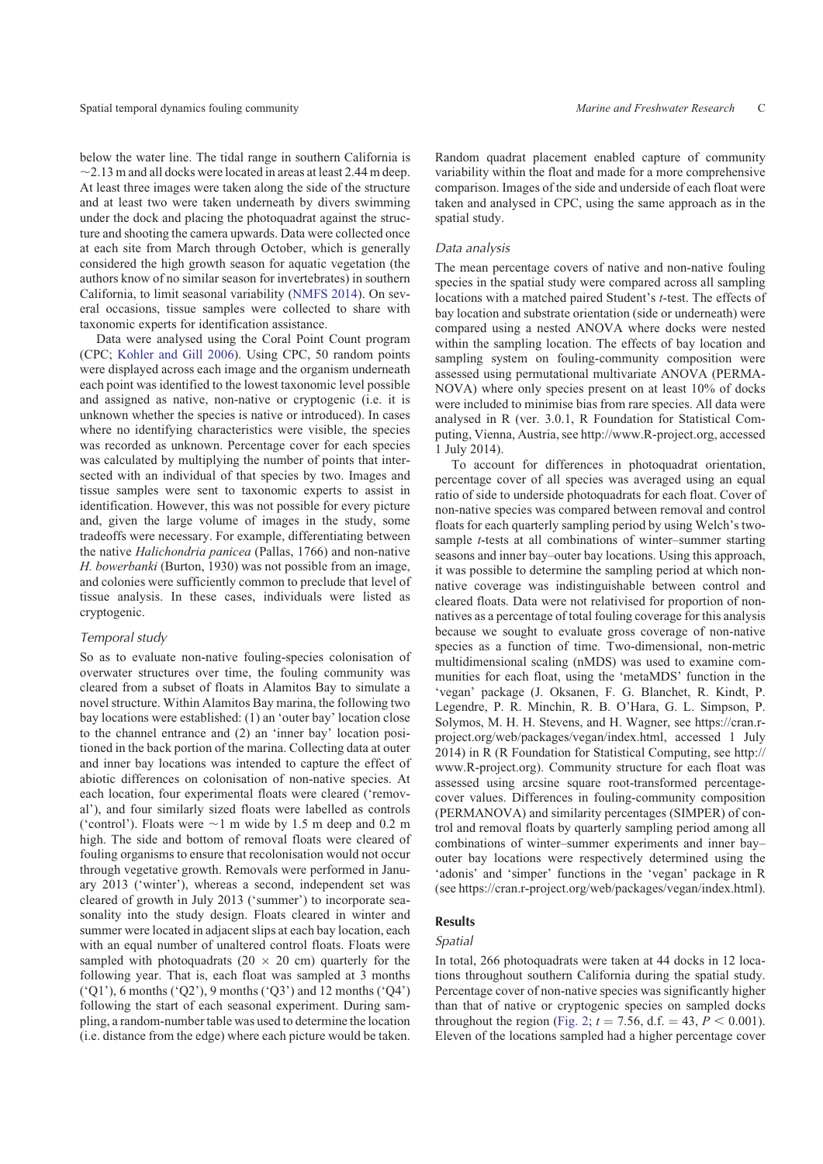below the water line. The tidal range in southern California is  $\sim$  2.13 m and all docks were located in areas at least 2.44 m deep. At least three images were taken along the side of the structure and at least two were taken underneath by divers swimming under the dock and placing the photoquadrat against the structure and shooting the camera upwards. Data were collected once at each site from March through October, which is generally considered the high growth season for aquatic vegetation (the authors know of no similar season for invertebrates) in southern California, to limit seasonal variability ([NMFS 2014\)](#page-9-0). On several occasions, tissue samples were collected to share with taxonomic experts for identification assistance.

Data were analysed using the Coral Point Count program (CPC; [Kohler and Gill 2006](#page-9-0)). Using CPC, 50 random points were displayed across each image and the organism underneath each point was identified to the lowest taxonomic level possible and assigned as native, non-native or cryptogenic (i.e. it is unknown whether the species is native or introduced). In cases where no identifying characteristics were visible, the species was recorded as unknown. Percentage cover for each species was calculated by multiplying the number of points that intersected with an individual of that species by two. Images and tissue samples were sent to taxonomic experts to assist in identification. However, this was not possible for every picture and, given the large volume of images in the study, some tradeoffs were necessary. For example, differentiating between the native *Halichondria panicea* (Pallas, 1766) and non-native *H. bowerbanki* (Burton, 1930) was not possible from an image, and colonies were sufficiently common to preclude that level of tissue analysis. In these cases, individuals were listed as cryptogenic.

#### *Temporal study*

So as to evaluate non-native fouling-species colonisation of overwater structures over time, the fouling community was cleared from a subset of floats in Alamitos Bay to simulate a novel structure. Within Alamitos Bay marina, the following two bay locations were established: (1) an 'outer bay' location close to the channel entrance and (2) an 'inner bay' location positioned in the back portion of the marina. Collecting data at outer and inner bay locations was intended to capture the effect of abiotic differences on colonisation of non-native species. At each location, four experimental floats were cleared ('removal'), and four similarly sized floats were labelled as controls ('control'). Floats were  $\sim$ 1 m wide by 1.5 m deep and 0.2 m high. The side and bottom of removal floats were cleared of fouling organisms to ensure that recolonisation would not occur through vegetative growth. Removals were performed in January 2013 ('winter'), whereas a second, independent set was cleared of growth in July 2013 ('summer') to incorporate seasonality into the study design. Floats cleared in winter and summer were located in adjacent slips at each bay location, each with an equal number of unaltered control floats. Floats were sampled with photoquadrats (20  $\times$  20 cm) quarterly for the following year. That is, each float was sampled at 3 months  $'(Q1'), 6$  months  $'(Q2'), 9$  months  $'(Q3')$  and 12 months  $'(Q4')$ following the start of each seasonal experiment. During sampling, a random-number table was used to determine the location (i.e. distance from the edge) where each picture would be taken.

Random quadrat placement enabled capture of community variability within the float and made for a more comprehensive comparison. Images of the side and underside of each float were taken and analysed in CPC, using the same approach as in the spatial study.

## *Data analysis*

The mean percentage covers of native and non-native fouling species in the spatial study were compared across all sampling locations with a matched paired Student's *t*-test. The effects of bay location and substrate orientation (side or underneath) were compared using a nested ANOVA where docks were nested within the sampling location. The effects of bay location and sampling system on fouling-community composition were assessed using permutational multivariate ANOVA (PERMA-NOVA) where only species present on at least 10% of docks were included to minimise bias from rare species. All data were analysed in R (ver. 3.0.1, R Foundation for Statistical Computing, Vienna, Austria, see [http://www.R-project.org,](http://www.R-project.org) accessed 1 July 2014).

To account for differences in photoquadrat orientation, percentage cover of all species was averaged using an equal ratio of side to underside photoquadrats for each float. Cover of non-native species was compared between removal and control floats for each quarterly sampling period by using Welch's twosample *t*-tests at all combinations of winter–summer starting seasons and inner bay–outer bay locations. Using this approach, it was possible to determine the sampling period at which nonnative coverage was indistinguishable between control and cleared floats. Data were not relativised for proportion of nonnatives as a percentage of total fouling coverage for this analysis because we sought to evaluate gross coverage of non-native species as a function of time. Two-dimensional, non-metric multidimensional scaling (nMDS) was used to examine communities for each float, using the 'metaMDS' function in the 'vegan' package (J. Oksanen, F. G. Blanchet, R. Kindt, P. Legendre, P. R. Minchin, R. B. O'Hara, G. L. Simpson, P. Solymos, M. H. H. Stevens, and H. Wagner, see [https://cran.r](https://cran.r-project.org/web/packages/vegan/index.html)[project.org/web/packages/vegan/index.html](https://cran.r-project.org/web/packages/vegan/index.html), accessed 1 July 2014) in R (R Foundation for Statistical Computing, see [http://](http://www.R-project.org) [www.R-project.org](http://www.R-project.org)). Community structure for each float was assessed using arcsine square root-transformed percentagecover values. Differences in fouling-community composition (PERMANOVA) and similarity percentages (SIMPER) of control and removal floats by quarterly sampling period among all combinations of winter–summer experiments and inner bay– outer bay locations were respectively determined using the 'adonis' and 'simper' functions in the 'vegan' package in R (see<https://cran.r-project.org/web/packages/vegan/index.html>).

## **Results**

## *Spatial*

In total, 266 photoquadrats were taken at 44 docks in 12 locations throughout southern California during the spatial study. Percentage cover of non-native species was significantly higher than that of native or cryptogenic species on sampled docks throughout the region [\(Fig. 2;](#page-3-0)  $t = 7.56$ , d.f.  $= 43$ ,  $P < 0.001$ ). Eleven of the locations sampled had a higher percentage cover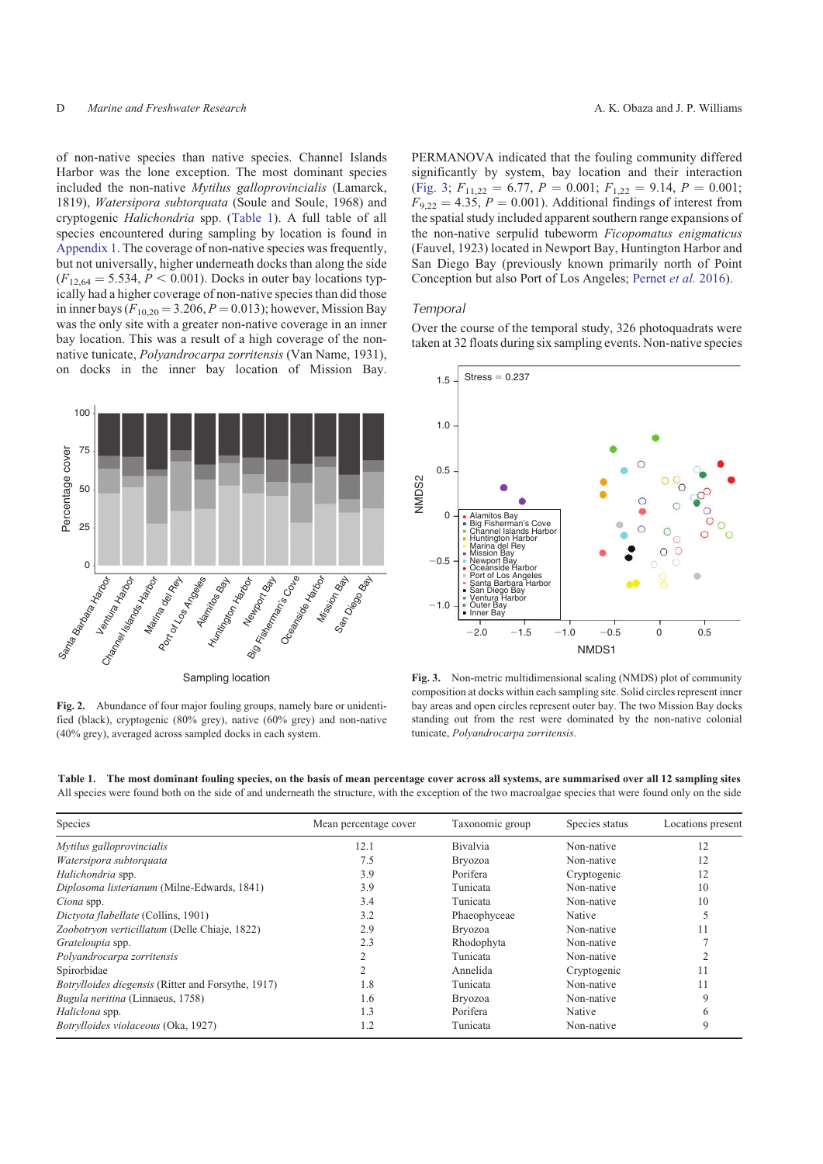<span id="page-3-0"></span>of non-native species than native species. Channel Islands Harbor was the lone exception. The most dominant species included the non-native *Mytilus galloprovincialis* (Lamarck, 1819), *Watersipora subtorquata* (Soule and Soule, 1968) and cryptogenic *Halichondria* spp. (Table 1). A full table of all species encountered during sampling by location is found in [Appendix 1.](#page-11-0) The coverage of non-native species was frequently, but not universally, higher underneath docks than along the side  $(F_{12,64} = 5.534, P \le 0.001)$ . Docks in outer bay locations typically had a higher coverage of non-native species than did those in inner bays ( $F_{10,20} = 3.206$ ,  $P = 0.013$ ); however, Mission Bay was the only site with a greater non-native coverage in an inner bay location. This was a result of a high coverage of the nonnative tunicate, *Polyandrocarpa zorritensis* (Van Name, 1931), on docks in the inner bay location of Mission Bay.



Fig. 2. Abundance of four major fouling groups, namely bare or unidentified (black), cryptogenic (80% grey), native (60% grey) and non-native (40% grey), averaged across sampled docks in each system.

PERMANOVA indicated that the fouling community differed significantly by system, bay location and their interaction (Fig. 3;  $F_{11,22} = 6.77$ ,  $P = 0.001$ ;  $F_{1,22} = 9.14$ ,  $P = 0.001$ ;  $F_{9,22} = 4.35, P = 0.001$ . Additional findings of interest from the spatial study included apparent southern range expansions of the non-native serpulid tubeworm *Ficopomatus enigmaticus* (Fauvel, 1923) located in Newport Bay, Huntington Harbor and San Diego Bay (previously known primarily north of Point Conception but also Port of Los Angeles; [Pernet](#page-9-0) *et al.* 2016).

#### *Temporal*

Over the course of the temporal study, 326 photoquadrats were taken at 32 floats during six sampling events. Non-native species



**Fig. 3.** Non-metric multidimensional scaling (NMDS) plot of community composition at docks within each sampling site. Solid circles represent inner bay areas and open circles represent outer bay. The two Mission Bay docks standing out from the rest were dominated by the non-native colonial tunicate, *Polyandrocarpa zorritensis*.

| Species                                                   | Mean percentage cover | Taxonomic group | Species status | Locations present |
|-----------------------------------------------------------|-----------------------|-----------------|----------------|-------------------|
| Mytilus galloprovincialis                                 | 12.1                  | Bivalvia        | Non-native     | 12                |
| Watersipora subtorquata                                   | 7.5                   | <b>Bryozoa</b>  | Non-native     | 12                |
| Halichondria spp.                                         | 3.9                   | Porifera        | Cryptogenic    | 12                |
| Diplosoma listerianum (Milne-Edwards, 1841)               | 3.9                   | Tunicata        | Non-native     | 10                |
| Ciona spp.                                                | 3.4                   | Tunicata        | Non-native     | 10                |
| Dictyota flabellate (Collins, 1901)                       | 3.2                   | Phaeophyceae    | Native         |                   |
| Zoobotryon verticillatum (Delle Chiaje, 1822)             | 2.9                   | <b>Bryozoa</b>  | Non-native     | 11                |
| Grateloupia spp.                                          | 2.3                   | Rhodophyta      | Non-native     |                   |
| Polyandrocarpa zorritensis                                |                       | Tunicata        | Non-native     |                   |
| Spirorbidae                                               |                       | Annelida        | Cryptogenic    | 11                |
| <i>Botrylloides diegensis</i> (Ritter and Forsythe, 1917) | 1.8                   | Tunicata        | Non-native     | 11                |
| Bugula neritina (Linnaeus, 1758)                          | 1.6                   | <b>Bryozoa</b>  | Non-native     |                   |
| Haliclona spp.                                            | 1.3                   | Porifera        | Native         |                   |
| Botrylloides violaceous (Oka, 1927)                       | 1.2                   | Tunicata        | Non-native     | 9                 |
|                                                           |                       |                 |                |                   |

**Table 1. The most dominant fouling species, on the basis of mean percentage cover across all systems, are summarised over all 12 sampling sites** All species were found both on the side of and underneath the structure, with the exception of the two macroalgae species that were found only on the side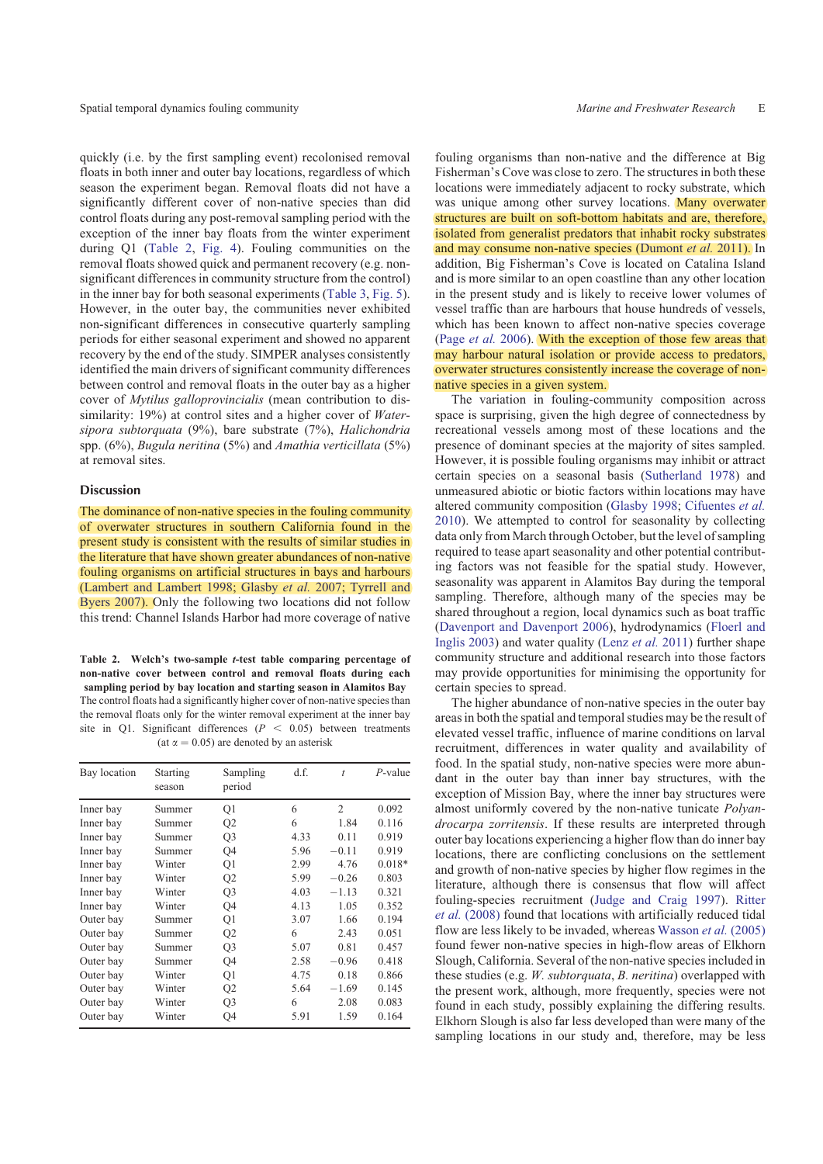quickly (i.e. by the first sampling event) recolonised removal floats in both inner and outer bay locations, regardless of which season the experiment began. Removal floats did not have a significantly different cover of non-native species than did control floats during any post-removal sampling period with the exception of the inner bay floats from the winter experiment during Q1 (Table 2, [Fig. 4](#page-5-0)). Fouling communities on the removal floats showed quick and permanent recovery (e.g. nonsignificant differences in community structure from the control) in the inner bay for both seasonal experiments ([Table 3](#page-5-0), [Fig. 5](#page-6-0)). However, in the outer bay, the communities never exhibited non-significant differences in consecutive quarterly sampling periods for either seasonal experiment and showed no apparent recovery by the end of the study. SIMPER analyses consistently identified the main drivers of significant community differences between control and removal floats in the outer bay as a higher cover of *Mytilus galloprovincialis* (mean contribution to dissimilarity: 19%) at control sites and a higher cover of *Watersipora subtorquata* (9%), bare substrate (7%), *Halichondria* spp. (6%), *Bugula neritina* (5%) and *Amathia verticillata* (5%) at removal sites.

#### **Discussion**

The dominance of non-native species in the fouling community of overwater structures in southern California found in the present study is consistent with the results of similar studies in the literature that have shown greater abundances of non-native fouling organisms on artificial structures in bays and harbours ([Lambert and Lambert 1998](#page-9-0); [Glasby](#page-8-0) *et al.* 2007; [Tyrrell and](#page-10-0) [Byers 2007\)](#page-10-0). Only the following two locations did not follow this trend: Channel Islands Harbor had more coverage of native

**Table 2. Welch's two-sample t-test table comparing percentage of non-native cover between control and removal floats during each sampling period by bay location and starting season in Alamitos Bay** The control floats had a significantly higher cover of non-native species than the removal floats only for the winter removal experiment at the inner bay site in Q1. Significant differences  $(P < 0.05)$  between treatments (at  $\alpha$  = 0.05) are denoted by an asterisk

| Bay location | Starting<br>season | Sampling<br>period | d.f. | $\bar{t}$      | $P$ -value |
|--------------|--------------------|--------------------|------|----------------|------------|
| Inner bay    | Summer             | Q1                 | 6    | $\overline{2}$ | 0.092      |
| Inner bay    | Summer             | Q <sub>2</sub>     | 6    | 1.84           | 0.116      |
| Inner bay    | Summer             | Q <sub>3</sub>     | 4.33 | 0.11           | 0.919      |
| Inner bay    | Summer             | Q4                 | 5.96 | $-0.11$        | 0.919      |
| Inner bay    | Winter             | Q1                 | 2.99 | 4.76           | $0.018*$   |
| Inner bay    | Winter             | Q2                 | 5.99 | $-0.26$        | 0.803      |
| Inner bay    | Winter             | Q <sub>3</sub>     | 4.03 | $-1.13$        | 0.321      |
| Inner bay    | Winter             | Q4                 | 4.13 | 1.05           | 0.352      |
| Outer bay    | Summer             | Q1                 | 3.07 | 1.66           | 0.194      |
| Outer bay    | Summer             | Q <sub>2</sub>     | 6    | 2.43           | 0.051      |
| Outer bay    | Summer             | Q3                 | 5.07 | 0.81           | 0.457      |
| Outer bay    | Summer             | Q4                 | 2.58 | $-0.96$        | 0.418      |
| Outer bay    | Winter             | Q1                 | 4.75 | 0.18           | 0.866      |
| Outer bay    | Winter             | Q <sub>2</sub>     | 5.64 | $-1.69$        | 0.145      |
| Outer bay    | Winter             | Q3                 | 6    | 2.08           | 0.083      |
| Outer bay    | Winter             | Q4                 | 5.91 | 1.59           | 0.164      |

fouling organisms than non-native and the difference at Big Fisherman's Cove was close to zero. The structures in both these locations were immediately adjacent to rocky substrate, which was unique among other survey locations. Many overwater structures are built on soft-bottom habitats and are, therefore, isolated from generalist predators that inhabit rocky substrates and may consume non-native species [\(Dumont](#page-8-0) *et al.* 2011). In addition, Big Fisherman's Cove is located on Catalina Island and is more similar to an open coastline than any other location in the present study and is likely to receive lower volumes of vessel traffic than are harbours that house hundreds of vessels, which has been known to affect non-native species coverage (Page *[et al.](#page-9-0)* 2006). With the exception of those few areas that may harbour natural isolation or provide access to predators, overwater structures consistently increase the coverage of nonnative species in a given system.

The variation in fouling-community composition across space is surprising, given the high degree of connectedness by recreational vessels among most of these locations and the presence of dominant species at the majority of sites sampled. However, it is possible fouling organisms may inhibit or attract certain species on a seasonal basis ([Sutherland 1978\)](#page-9-0) and unmeasured abiotic or biotic factors within locations may have altered community composition ([Glasby 1998](#page-8-0); [Cifuentes](#page-8-0) *et al.* [2010\)](#page-8-0). We attempted to control for seasonality by collecting data only from March through October, but the level of sampling required to tease apart seasonality and other potential contributing factors was not feasible for the spatial study. However, seasonality was apparent in Alamitos Bay during the temporal sampling. Therefore, although many of the species may be shared throughout a region, local dynamics such as boat traffic ([Davenport and Davenport 2006\)](#page-8-0), hydrodynamics [\(Floerl and](#page-8-0) [Inglis 2003\)](#page-8-0) and water quality (Lenz *[et al.](#page-9-0)* 2011) further shape community structure and additional research into those factors may provide opportunities for minimising the opportunity for certain species to spread.

The higher abundance of non-native species in the outer bay areas in both the spatial and temporal studies may be the result of elevated vessel traffic, influence of marine conditions on larval recruitment, differences in water quality and availability of food. In the spatial study, non-native species were more abundant in the outer bay than inner bay structures, with the exception of Mission Bay, where the inner bay structures were almost uniformly covered by the non-native tunicate *Polyandrocarpa zorritensis*. If these results are interpreted through outer bay locations experiencing a higher flow than do inner bay locations, there are conflicting conclusions on the settlement and growth of non-native species by higher flow regimes in the literature, although there is consensus that flow will affect fouling-species recruitment [\(Judge and Craig 1997\)](#page-9-0). [Ritter](#page-9-0) *et al.* [\(2008\)](#page-9-0) found that locations with artificially reduced tidal flow are less likely to be invaded, whereas [Wasson](#page-10-0) *et al.* (2005) found fewer non-native species in high-flow areas of Elkhorn Slough, California. Several of the non-native species included in these studies (e.g. *W. subtorquata*, *B. neritina*) overlapped with the present work, although, more frequently, species were not found in each study, possibly explaining the differing results. Elkhorn Slough is also far less developed than were many of the sampling locations in our study and, therefore, may be less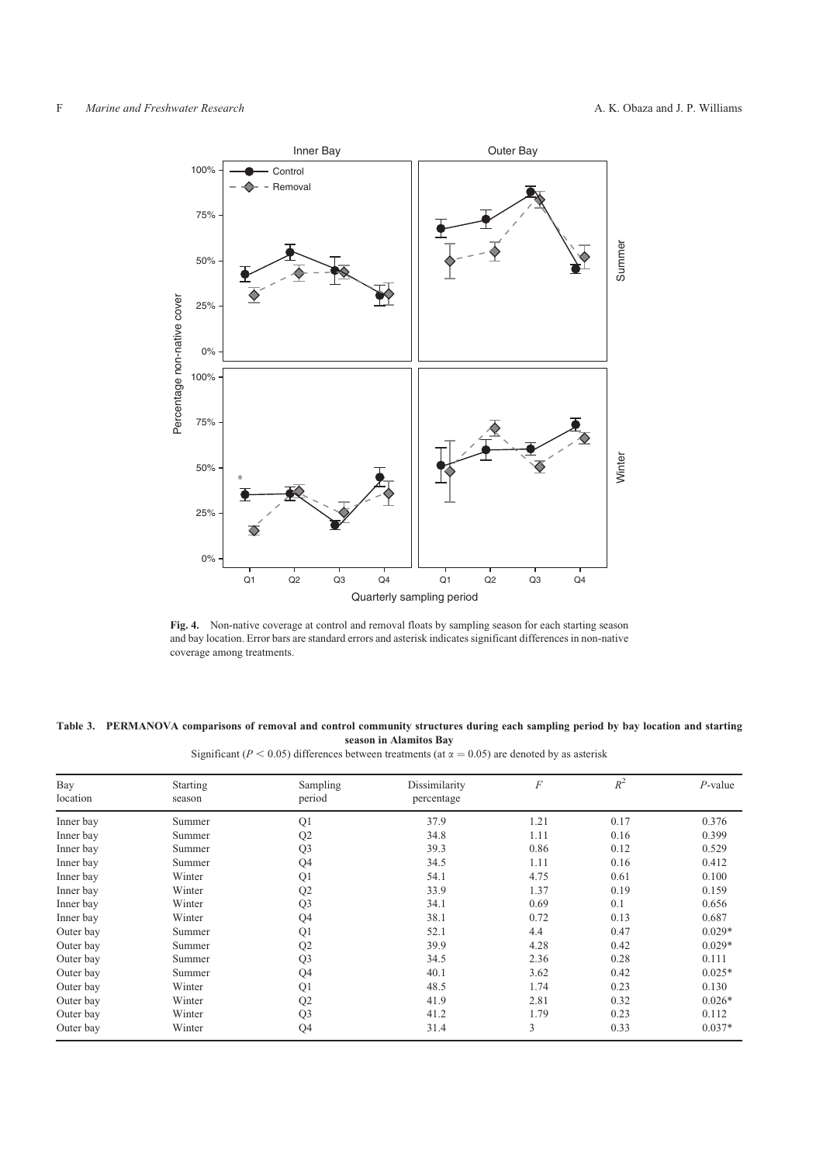<span id="page-5-0"></span>

**Fig. 4.** Non-native coverage at control and removal floats by sampling season for each starting season and bay location. Error bars are standard errors and asterisk indicates significant differences in non-native coverage among treatments.

## **Table 3. PERMANOVA comparisons of removal and control community structures during each sampling period by bay location and starting season in Alamitos Bay**

| Bay       | Starting | Sampling       | Dissimilarity | $\overline{F}$ | $R^2$ | $P$ -value |
|-----------|----------|----------------|---------------|----------------|-------|------------|
| location  | season   | period         | percentage    |                |       |            |
| Inner bay | Summer   | Q <sub>1</sub> | 37.9          | 1.21           | 0.17  | 0.376      |
| Inner bay | Summer   | Q <sub>2</sub> | 34.8          | 1.11           | 0.16  | 0.399      |
| Inner bay | Summer   | Q <sub>3</sub> | 39.3          | 0.86           | 0.12  | 0.529      |
| Inner bay | Summer   | Q4             | 34.5          | 1.11           | 0.16  | 0.412      |
| Inner bay | Winter   | Q <sub>1</sub> | 54.1          | 4.75           | 0.61  | 0.100      |
| Inner bay | Winter   | Q <sub>2</sub> | 33.9          | 1.37           | 0.19  | 0.159      |
| Inner bay | Winter   | Q <sub>3</sub> | 34.1          | 0.69           | 0.1   | 0.656      |
| Inner bay | Winter   | Q4             | 38.1          | 0.72           | 0.13  | 0.687      |
| Outer bay | Summer   | Q <sub>1</sub> | 52.1          | 4.4            | 0.47  | $0.029*$   |
| Outer bay | Summer   | Q2             | 39.9          | 4.28           | 0.42  | $0.029*$   |
| Outer bay | Summer   | Q <sub>3</sub> | 34.5          | 2.36           | 0.28  | 0.111      |
| Outer bay | Summer   | Q4             | 40.1          | 3.62           | 0.42  | $0.025*$   |
| Outer bay | Winter   | Q <sub>1</sub> | 48.5          | 1.74           | 0.23  | 0.130      |
| Outer bay | Winter   | Q <sub>2</sub> | 41.9          | 2.81           | 0.32  | $0.026*$   |
| Outer bay | Winter   | Q <sub>3</sub> | 41.2          | 1.79           | 0.23  | 0.112      |
| Outer bay | Winter   | Q4             | 31.4          | 3              | 0.33  | $0.037*$   |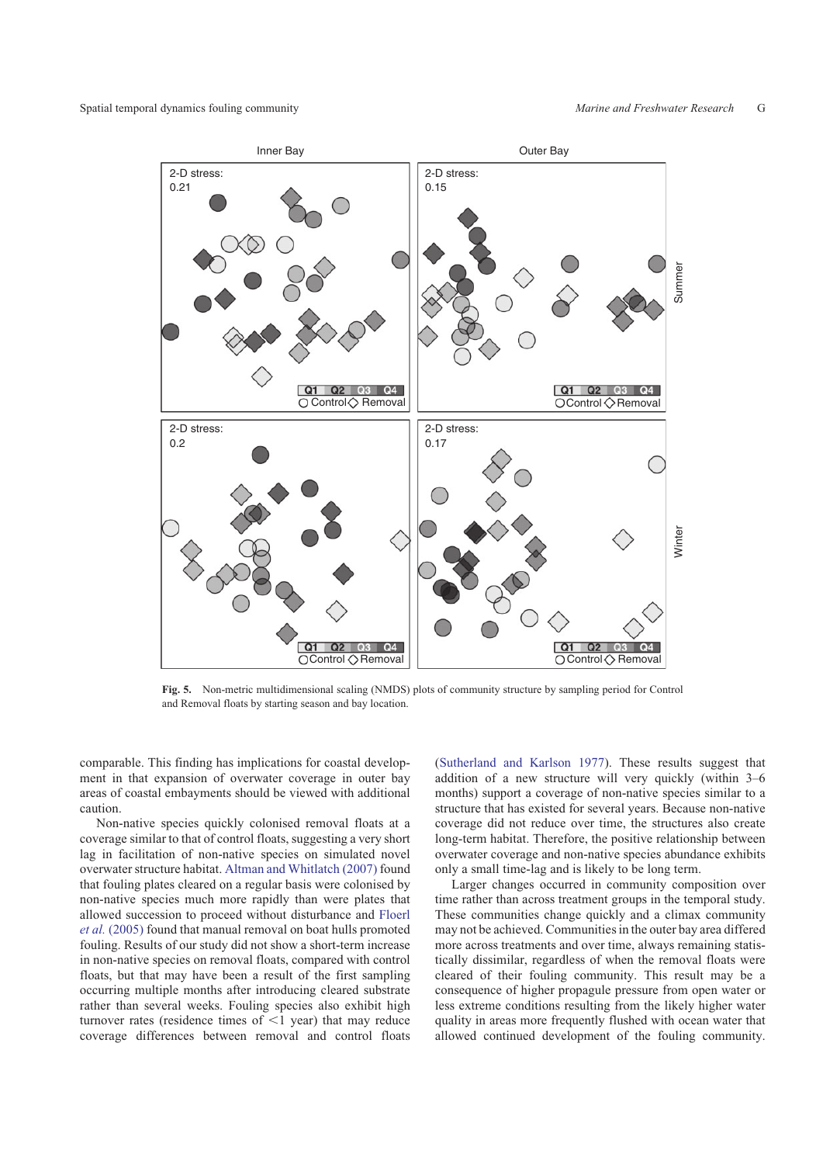<span id="page-6-0"></span>

**Fig. 5.** Non-metric multidimensional scaling (NMDS) plots of community structure by sampling period for Control and Removal floats by starting season and bay location.

comparable. This finding has implications for coastal development in that expansion of overwater coverage in outer bay areas of coastal embayments should be viewed with additional caution.

Non-native species quickly colonised removal floats at a coverage similar to that of control floats, suggesting a very short lag in facilitation of non-native species on simulated novel overwater structure habitat. [Altman and Whitlatch \(2007\)](#page-8-0) found that fouling plates cleared on a regular basis were colonised by non-native species much more rapidly than were plates that allowed succession to proceed without disturbance and [Floerl](#page-8-0) *et al.* [\(2005\)](#page-8-0) found that manual removal on boat hulls promoted fouling. Results of our study did not show a short-term increase in non-native species on removal floats, compared with control floats, but that may have been a result of the first sampling occurring multiple months after introducing cleared substrate rather than several weeks. Fouling species also exhibit high turnover rates (residence times of  $\leq 1$  year) that may reduce coverage differences between removal and control floats ([Sutherland and Karlson 1977](#page-10-0)). These results suggest that addition of a new structure will very quickly (within 3–6 months) support a coverage of non-native species similar to a structure that has existed for several years. Because non-native coverage did not reduce over time, the structures also create long-term habitat. Therefore, the positive relationship between overwater coverage and non-native species abundance exhibits only a small time-lag and is likely to be long term.

Larger changes occurred in community composition over time rather than across treatment groups in the temporal study. These communities change quickly and a climax community may not be achieved. Communities in the outer bay area differed more across treatments and over time, always remaining statistically dissimilar, regardless of when the removal floats were cleared of their fouling community. This result may be a consequence of higher propagule pressure from open water or less extreme conditions resulting from the likely higher water quality in areas more frequently flushed with ocean water that allowed continued development of the fouling community.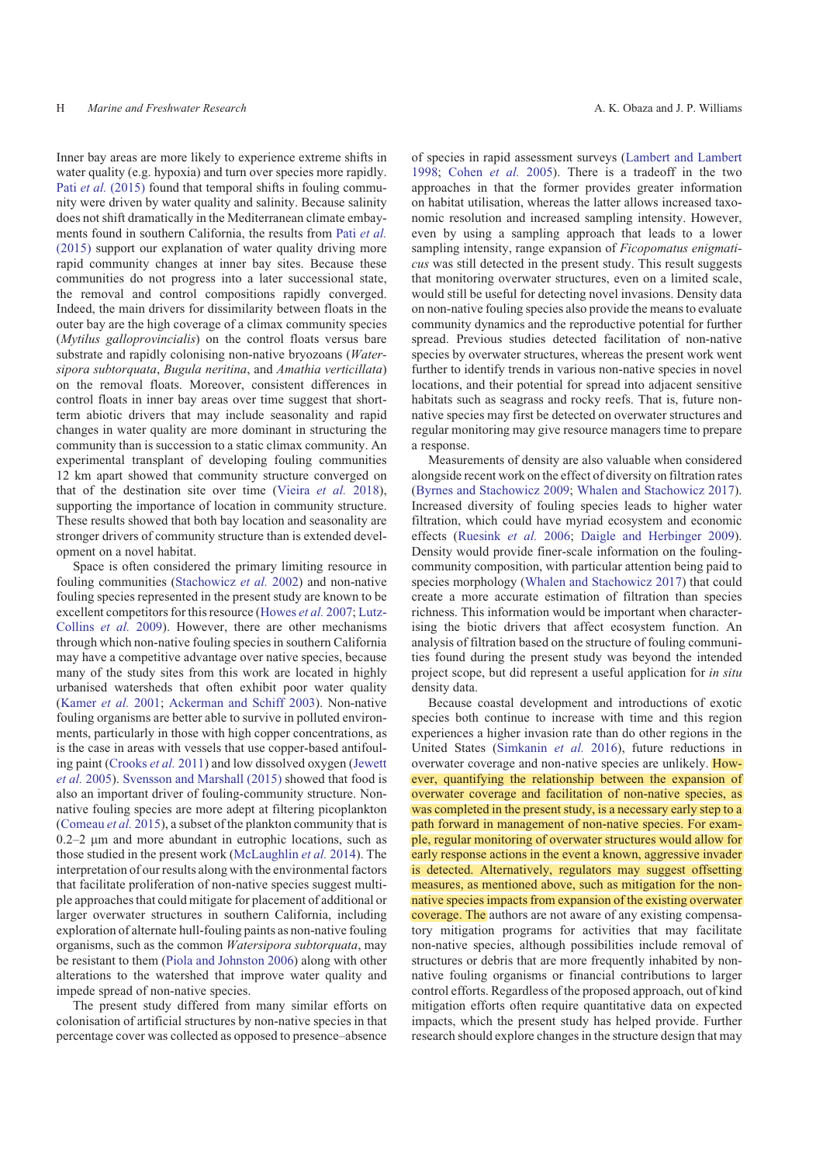Inner bay areas are more likely to experience extreme shifts in water quality (e.g. hypoxia) and turn over species more rapidly. Pati *et al.* [\(2015\)](#page-9-0) found that temporal shifts in fouling community were driven by water quality and salinity. Because salinity does not shift dramatically in the Mediterranean climate embayments found in southern California, the results from Pati *[et al.](#page-9-0)* [\(2015\)](#page-9-0) support our explanation of water quality driving more rapid community changes at inner bay sites. Because these communities do not progress into a later successional state, the removal and control compositions rapidly converged. Indeed, the main drivers for dissimilarity between floats in the outer bay are the high coverage of a climax community species (*Mytilus galloprovincialis*) on the control floats versus bare substrate and rapidly colonising non-native bryozoans (*Watersipora subtorquata*, *Bugula neritina*, and *Amathia verticillata*) on the removal floats. Moreover, consistent differences in control floats in inner bay areas over time suggest that shortterm abiotic drivers that may include seasonality and rapid changes in water quality are more dominant in structuring the community than is succession to a static climax community. An experimental transplant of developing fouling communities 12 km apart showed that community structure converged on that of the destination site over time ([Vieira](#page-10-0) *et al.* 2018), supporting the importance of location in community structure. These results showed that both bay location and seasonality are stronger drivers of community structure than is extended development on a novel habitat.

Space is often considered the primary limiting resource in fouling communities ([Stachowicz](#page-9-0) *et al.* 2002) and non-native fouling species represented in the present study are known to be excellent competitors for this resource [\(Howes](#page-9-0) *et al.* 2007; [Lutz-](#page-9-0)[Collins](#page-9-0) *et al.* 2009). However, there are other mechanisms through which non-native fouling species in southern California may have a competitive advantage over native species, because many of the study sites from this work are located in highly urbanised watersheds that often exhibit poor water quality ([Kamer](#page-9-0) *et al.* 2001; [Ackerman and Schiff 2003](#page-8-0)). Non-native fouling organisms are better able to survive in polluted environments, particularly in those with high copper concentrations, as is the case in areas with vessels that use copper-based antifouling paint [\(Crooks](#page-8-0) *et al.* 2011) and low dissolved oxygen ([Jewett](#page-9-0) *et al.* [2005](#page-9-0)). [Svensson and Marshall \(2015\)](#page-10-0) showed that food is also an important driver of fouling-community structure. Nonnative fouling species are more adept at filtering picoplankton ([Comeau](#page-8-0) *et al.* 2015), a subset of the plankton community that is  $0.2-2$  µm and more abundant in eutrophic locations, such as those studied in the present work [\(McLaughlin](#page-9-0) *et al.* 2014). The interpretation of our results along with the environmental factors that facilitate proliferation of non-native species suggest multiple approaches that could mitigate for placement of additional or larger overwater structures in southern California, including exploration of alternate hull-fouling paints as non-native fouling organisms, such as the common *Watersipora subtorquata*, may be resistant to them [\(Piola and Johnston 2006\)](#page-9-0) along with other alterations to the watershed that improve water quality and impede spread of non-native species.

The present study differed from many similar efforts on colonisation of artificial structures by non-native species in that percentage cover was collected as opposed to presence–absence of species in rapid assessment surveys ([Lambert and Lambert](#page-9-0) [1998;](#page-9-0) [Cohen](#page-8-0) *et al.* 2005). There is a tradeoff in the two approaches in that the former provides greater information on habitat utilisation, whereas the latter allows increased taxonomic resolution and increased sampling intensity. However, even by using a sampling approach that leads to a lower sampling intensity, range expansion of *Ficopomatus enigmaticus* was still detected in the present study. This result suggests that monitoring overwater structures, even on a limited scale, would still be useful for detecting novel invasions. Density data on non-native fouling species also provide the means to evaluate community dynamics and the reproductive potential for further spread. Previous studies detected facilitation of non-native species by overwater structures, whereas the present work went further to identify trends in various non-native species in novel locations, and their potential for spread into adjacent sensitive habitats such as seagrass and rocky reefs. That is, future nonnative species may first be detected on overwater structures and regular monitoring may give resource managers time to prepare a response.

Measurements of density are also valuable when considered alongside recent work on the effect of diversity on filtration rates [\(Byrnes and Stachowicz 2009](#page-8-0); [Whalen and Stachowicz 2017](#page-10-0)). Increased diversity of fouling species leads to higher water filtration, which could have myriad ecosystem and economic effects [\(Ruesink](#page-9-0) *et al.* 2006; [Daigle and Herbinger 2009](#page-8-0)). Density would provide finer-scale information on the foulingcommunity composition, with particular attention being paid to species morphology ([Whalen and Stachowicz 2017](#page-10-0)) that could create a more accurate estimation of filtration than species richness. This information would be important when characterising the biotic drivers that affect ecosystem function. An analysis of filtration based on the structure of fouling communities found during the present study was beyond the intended project scope, but did represent a useful application for *in situ* density data.

Because coastal development and introductions of exotic species both continue to increase with time and this region experiences a higher invasion rate than do other regions in the United States ([Simkanin](#page-9-0) *et al.* 2016), future reductions in overwater coverage and non-native species are unlikely. However, quantifying the relationship between the expansion of overwater coverage and facilitation of non-native species, as was completed in the present study, is a necessary early step to a path forward in management of non-native species. For example, regular monitoring of overwater structures would allow for early response actions in the event a known, aggressive invader is detected. Alternatively, regulators may suggest offsetting measures, as mentioned above, such as mitigation for the nonnative species impacts from expansion of the existing overwater coverage. The authors are not aware of any existing compensatory mitigation programs for activities that may facilitate non-native species, although possibilities include removal of structures or debris that are more frequently inhabited by nonnative fouling organisms or financial contributions to larger control efforts. Regardless of the proposed approach, out of kind mitigation efforts often require quantitative data on expected impacts, which the present study has helped provide. Further research should explore changes in the structure design that may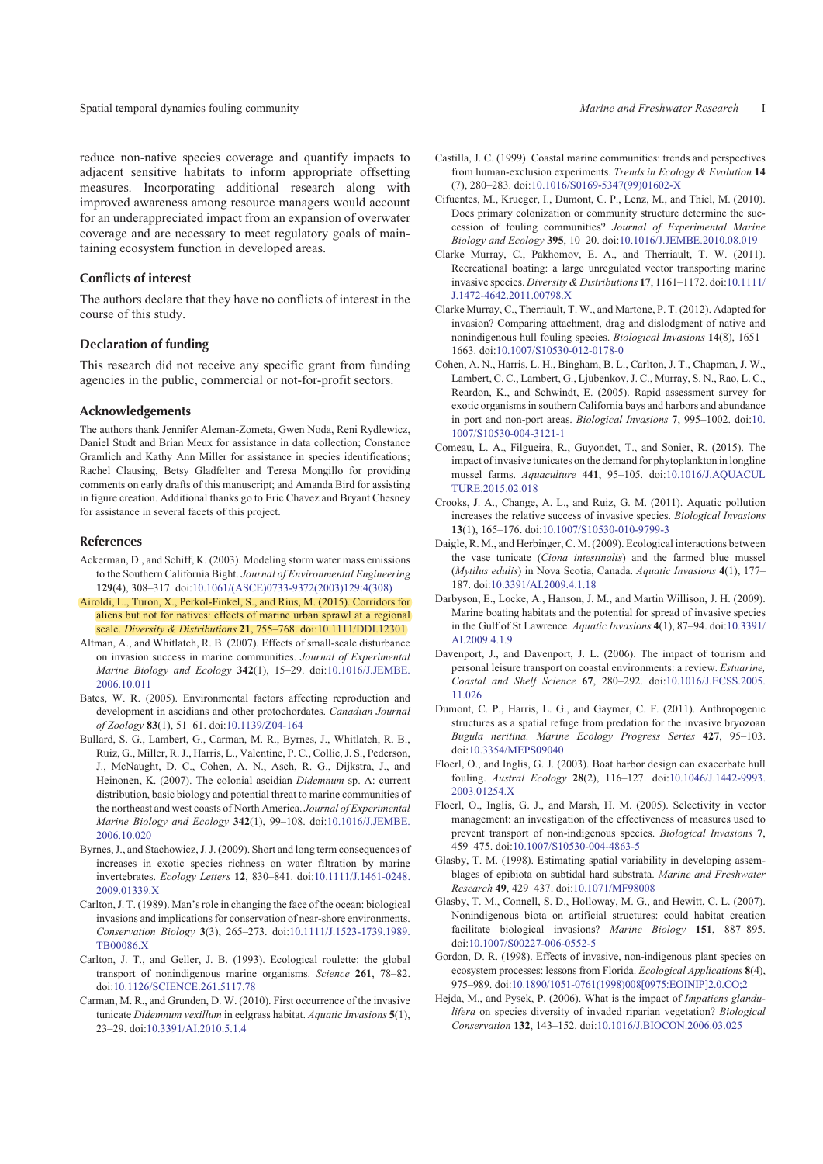<span id="page-8-0"></span>reduce non-native species coverage and quantify impacts to adjacent sensitive habitats to inform appropriate offsetting measures. Incorporating additional research along with improved awareness among resource managers would account for an underappreciated impact from an expansion of overwater coverage and are necessary to meet regulatory goals of maintaining ecosystem function in developed areas.

## **Conflicts of interest**

The authors declare that they have no conflicts of interest in the course of this study.

## **Declaration of funding**

This research did not receive any specific grant from funding agencies in the public, commercial or not-for-profit sectors.

#### **Acknowledgements**

The authors thank Jennifer Aleman-Zometa, Gwen Noda, Reni Rydlewicz, Daniel Studt and Brian Meux for assistance in data collection; Constance Gramlich and Kathy Ann Miller for assistance in species identifications; Rachel Clausing, Betsy Gladfelter and Teresa Mongillo for providing comments on early drafts of this manuscript; and Amanda Bird for assisting in figure creation. Additional thanks go to Eric Chavez and Bryant Chesney for assistance in several facets of this project.

#### **References**

- Ackerman, D., and Schiff, K. (2003). Modeling storm water mass emissions to the Southern California Bight. *Journal of Environmental Engineering* **129**(4), 308–317. doi[:10.1061/\(ASCE\)0733-9372\(2003\)129:4\(308\)](http://dx.doi.org/10.1061/(ASCE)0733-9372(2003)129:4(308))
- Airoldi, L., Turon, X., Perkol-Finkel, S., and Rius, M. (2015). Corridors for aliens but not for natives: effects of marine urban sprawl at a regional scale. *Diversity & Distributions* **21**, 755–768. doi:[10.1111/DDI.12301](http://dx.doi.org/10.1111/DDI.12301)
- Altman, A., and Whitlatch, R. B. (2007). Effects of small-scale disturbance on invasion success in marine communities. *Journal of Experimental Marine Biology and Ecology* **342**(1), 15–29. doi:[10.1016/J.JEMBE.](http://dx.doi.org/10.1016/J.JEMBE.2006.10.011) [2006.10.011](http://dx.doi.org/10.1016/J.JEMBE.2006.10.011)
- Bates, W. R. (2005). Environmental factors affecting reproduction and development in ascidians and other protochordates. *Canadian Journal of Zoology* **83**(1), 51–61. doi:[10.1139/Z04-164](http://dx.doi.org/10.1139/Z04-164)
- Bullard, S. G., Lambert, G., Carman, M. R., Byrnes, J., Whitlatch, R. B., Ruiz, G., Miller, R. J., Harris, L., Valentine, P. C., Collie, J. S., Pederson, J., McNaught, D. C., Cohen, A. N., Asch, R. G., Dijkstra, J., and Heinonen, K. (2007). The colonial ascidian *Didemnum* sp. A: current distribution, basic biology and potential threat to marine communities of the northeast and west coasts of North America. *Journal of Experimental Marine Biology and Ecology* **342**(1), 99–108. doi:[10.1016/J.JEMBE.](http://dx.doi.org/10.1016/J.JEMBE.2006.10.020) [2006.10.020](http://dx.doi.org/10.1016/J.JEMBE.2006.10.020)
- Byrnes, J., and Stachowicz, J. J. (2009). Short and long term consequences of increases in exotic species richness on water filtration by marine invertebrates. *Ecology Letters* **12**, 830–841. doi[:10.1111/J.1461-0248.](http://dx.doi.org/10.1111/J.1461-0248.2009.01339.X) [2009.01339.X](http://dx.doi.org/10.1111/J.1461-0248.2009.01339.X)
- Carlton, J. T. (1989). Man's role in changing the face of the ocean: biological invasions and implications for conservation of near-shore environments. *Conservation Biology* **3**(3), 265–273. doi[:10.1111/J.1523-1739.1989.](http://dx.doi.org/10.1111/J.1523-1739.1989.TB00086.X) [TB00086.X](http://dx.doi.org/10.1111/J.1523-1739.1989.TB00086.X)
- Carlton, J. T., and Geller, J. B. (1993). Ecological roulette: the global transport of nonindigenous marine organisms. *Science* **261**, 78–82. doi[:10.1126/SCIENCE.261.5117.78](http://dx.doi.org/10.1126/SCIENCE.261.5117.78)
- Carman, M. R., and Grunden, D. W. (2010). First occurrence of the invasive tunicate *Didemnum vexillum* in eelgrass habitat. *Aquatic Invasions* **5**(1), 23–29. doi[:10.3391/AI.2010.5.1.4](http://dx.doi.org/10.3391/AI.2010.5.1.4)
- Castilla, J. C. (1999). Coastal marine communities: trends and perspectives from human-exclusion experiments. *Trends in Ecology & Evolution* **14** (7), 280–283. doi[:10.1016/S0169-5347\(99\)01602-X](http://dx.doi.org/10.1016/S0169-5347(99)01602-X)
- Cifuentes, M., Krueger, I., Dumont, C. P., Lenz, M., and Thiel, M. (2010). Does primary colonization or community structure determine the succession of fouling communities? *Journal of Experimental Marine Biology and Ecology* **395**, 10–20. doi[:10.1016/J.JEMBE.2010.08.019](http://dx.doi.org/10.1016/J.JEMBE.2010.08.019)
- Clarke Murray, C., Pakhomov, E. A., and Therriault, T. W. (2011). Recreational boating: a large unregulated vector transporting marine invasive species. *Diversity & Distributions* **17**, 1161–1172. doi:[10.1111/](http://dx.doi.org/10.1111/J.1472-4642.2011.00798.X) [J.1472-4642.2011.00798.X](http://dx.doi.org/10.1111/J.1472-4642.2011.00798.X)
- Clarke Murray, C., Therriault, T. W., and Martone, P. T. (2012). Adapted for invasion? Comparing attachment, drag and dislodgment of native and nonindigenous hull fouling species. *Biological Invasions* **14**(8), 1651– 1663. doi[:10.1007/S10530-012-0178-0](http://dx.doi.org/10.1007/S10530-012-0178-0)
- Cohen, A. N., Harris, L. H., Bingham, B. L., Carlton, J. T., Chapman, J. W., Lambert, C. C., Lambert, G., Ljubenkov, J. C., Murray, S. N., Rao, L. C., Reardon, K., and Schwindt, E. (2005). Rapid assessment survey for exotic organisms in southern California bays and harbors and abundance in port and non-port areas. *Biological Invasions* **7**, 995–1002. doi[:10.](http://dx.doi.org/10.1007/S10530-004-3121-1) [1007/S10530-004-3121-1](http://dx.doi.org/10.1007/S10530-004-3121-1)
- Comeau, L. A., Filgueira, R., Guyondet, T., and Sonier, R. (2015). The impact of invasive tunicates on the demand for phytoplankton in longline mussel farms. *Aquaculture* **441**, 95–105. doi[:10.1016/J.AQUACUL](http://dx.doi.org/10.1016/J.AQUACULTURE.2015.02.018) [TURE.2015.02.018](http://dx.doi.org/10.1016/J.AQUACULTURE.2015.02.018)
- Crooks, J. A., Change, A. L., and Ruiz, G. M. (2011). Aquatic pollution increases the relative success of invasive species. *Biological Invasions* **13**(1), 165–176. doi[:10.1007/S10530-010-9799-3](http://dx.doi.org/10.1007/S10530-010-9799-3)
- Daigle, R. M., and Herbinger, C. M. (2009). Ecological interactions between the vase tunicate (*Ciona intestinalis*) and the farmed blue mussel (*Mytilus edulis*) in Nova Scotia, Canada. *Aquatic Invasions* **4**(1), 177– 187. doi[:10.3391/AI.2009.4.1.18](http://dx.doi.org/10.3391/AI.2009.4.1.18)
- Darbyson, E., Locke, A., Hanson, J. M., and Martin Willison, J. H. (2009). Marine boating habitats and the potential for spread of invasive species in the Gulf of St Lawrence. *Aquatic Invasions* **4**(1), 87–94. doi:[10.3391/](http://dx.doi.org/10.3391/AI.2009.4.1.9) [AI.2009.4.1.9](http://dx.doi.org/10.3391/AI.2009.4.1.9)
- Davenport, J., and Davenport, J. L. (2006). The impact of tourism and personal leisure transport on coastal environments: a review. *Estuarine, Coastal and Shelf Science* **67**, 280–292. doi:[10.1016/J.ECSS.2005.](http://dx.doi.org/10.1016/J.ECSS.2005.11.026) [11.026](http://dx.doi.org/10.1016/J.ECSS.2005.11.026)
- Dumont, C. P., Harris, L. G., and Gaymer, C. F. (2011). Anthropogenic structures as a spatial refuge from predation for the invasive bryozoan *Bugula neritina. Marine Ecology Progress Series* **427**, 95–103. doi[:10.3354/MEPS09040](http://dx.doi.org/10.3354/MEPS09040)
- Floerl, O., and Inglis, G. J. (2003). Boat harbor design can exacerbate hull fouling. *Austral Ecology* **28**(2), 116–127. doi[:10.1046/J.1442-9993.](http://dx.doi.org/10.1046/J.1442-9993.2003.01254.X) [2003.01254.X](http://dx.doi.org/10.1046/J.1442-9993.2003.01254.X)
- Floerl, O., Inglis, G. J., and Marsh, H. M. (2005). Selectivity in vector management: an investigation of the effectiveness of measures used to prevent transport of non-indigenous species. *Biological Invasions* **7**, 459–475. doi[:10.1007/S10530-004-4863-5](http://dx.doi.org/10.1007/S10530-004-4863-5)
- Glasby, T. M. (1998). Estimating spatial variability in developing assemblages of epibiota on subtidal hard substrata. *Marine and Freshwater Research* **49**, 429–437. doi:[10.1071/MF98008](http://dx.doi.org/10.1071/MF98008)
- Glasby, T. M., Connell, S. D., Holloway, M. G., and Hewitt, C. L. (2007). Nonindigenous biota on artificial structures: could habitat creation facilitate biological invasions? *Marine Biology* **151**, 887–895. doi[:10.1007/S00227-006-0552-5](http://dx.doi.org/10.1007/S00227-006-0552-5)
- Gordon, D. R. (1998). Effects of invasive, non-indigenous plant species on ecosystem processes: lessons from Florida. *Ecological Applications* **8**(4), 975–989. doi[:10.1890/1051-0761\(1998\)008\[0975:EOINIP\]2.0.CO;2](http://dx.doi.org/10.1890/1051-0761(1998)008[0975:EOINIP]2.0.CO;2)
- Hejda, M., and Pysek, P. (2006). What is the impact of *Impatiens glandulifera* on species diversity of invaded riparian vegetation? *Biological Conservation* **132**, 143–152. doi[:10.1016/J.BIOCON.2006.03.025](http://dx.doi.org/10.1016/J.BIOCON.2006.03.025)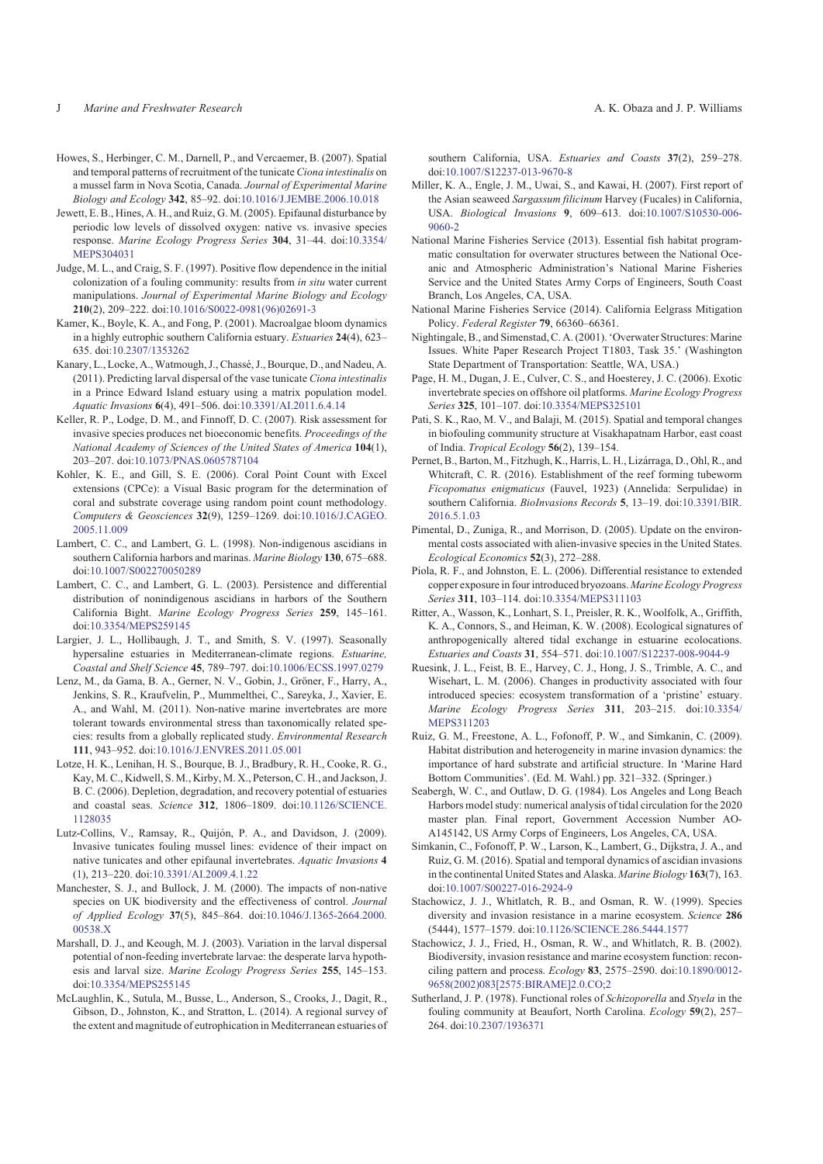- <span id="page-9-0"></span>Howes, S., Herbinger, C. M., Darnell, P., and Vercaemer, B. (2007). Spatial and temporal patterns of recruitment of the tunicate *Ciona intestinalis* on a mussel farm in Nova Scotia, Canada. *Journal of Experimental Marine Biology and Ecology* **342**, 85–92. doi[:10.1016/J.JEMBE.2006.10.018](http://dx.doi.org/10.1016/J.JEMBE.2006.10.018)
- Jewett, E. B., Hines, A. H., and Ruiz, G. M. (2005). Epifaunal disturbance by periodic low levels of dissolved oxygen: native vs. invasive species response. *Marine Ecology Progress Series* **304**, 31–44. doi:[10.3354/](http://dx.doi.org/10.3354/MEPS304031) [MEPS304031](http://dx.doi.org/10.3354/MEPS304031)
- Judge, M. L., and Craig, S. F. (1997). Positive flow dependence in the initial colonization of a fouling community: results from *in situ* water current manipulations. *Journal of Experimental Marine Biology and Ecology* **210**(2), 209–222. doi[:10.1016/S0022-0981\(96\)02691-3](http://dx.doi.org/10.1016/S0022-0981(96)02691-3)
- Kamer, K., Boyle, K. A., and Fong, P. (2001). Macroalgae bloom dynamics in a highly eutrophic southern California estuary. *Estuaries* **24**(4), 623– 635. doi[:10.2307/1353262](http://dx.doi.org/10.2307/1353262)
- Kanary, L., Locke, A., Watmough, J., Chassé, J., Bourque, D., and Nadeu, A. (2011). Predicting larval dispersal of the vase tunicate *Ciona intestinalis* in a Prince Edward Island estuary using a matrix population model. *Aquatic Invasions* **6**(4), 491–506. doi:[10.3391/AI.2011.6.4.14](http://dx.doi.org/10.3391/AI.2011.6.4.14)
- Keller, R. P., Lodge, D. M., and Finnoff, D. C. (2007). Risk assessment for invasive species produces net bioeconomic benefits. *Proceedings of the National Academy of Sciences of the United States of America* **104**(1), 203–207. doi[:10.1073/PNAS.0605787104](http://dx.doi.org/10.1073/PNAS.0605787104)
- Kohler, K. E., and Gill, S. E. (2006). Coral Point Count with Excel extensions (CPCe): a Visual Basic program for the determination of coral and substrate coverage using random point count methodology. *Computers & Geosciences* **32**(9), 1259–1269. doi:[10.1016/J.CAGEO.](http://dx.doi.org/10.1016/J.CAGEO.2005.11.009) [2005.11.009](http://dx.doi.org/10.1016/J.CAGEO.2005.11.009)
- Lambert, C. C., and Lambert, G. L. (1998). Non-indigenous ascidians in southern California harbors and marinas. *Marine Biology* **130**, 675–688. doi[:10.1007/S002270050289](http://dx.doi.org/10.1007/S002270050289)
- Lambert, C. C., and Lambert, G. L. (2003). Persistence and differential distribution of nonindigenous ascidians in harbors of the Southern California Bight. *Marine Ecology Progress Series* **259**, 145–161. doi[:10.3354/MEPS259145](http://dx.doi.org/10.3354/MEPS259145)
- Largier, J. L., Hollibaugh, J. T., and Smith, S. V. (1997). Seasonally hypersaline estuaries in Mediterranean-climate regions. *Estuarine, Coastal and Shelf Science* **45**, 789–797. doi[:10.1006/ECSS.1997.0279](http://dx.doi.org/10.1006/ECSS.1997.0279)
- Lenz, M., da Gama, B. A., Gerner, N. V., Gobin, J., Gröner, F., Harry, A., Jenkins, S. R., Kraufvelin, P., Mummelthei, C., Sareyka, J., Xavier, E. A., and Wahl, M. (2011). Non-native marine invertebrates are more tolerant towards environmental stress than taxonomically related species: results from a globally replicated study. *Environmental Research* **111**, 943–952. doi[:10.1016/J.ENVRES.2011.05.001](http://dx.doi.org/10.1016/J.ENVRES.2011.05.001)
- Lotze, H. K., Lenihan, H. S., Bourque, B. J., Bradbury, R. H., Cooke, R. G., Kay, M. C., Kidwell, S. M., Kirby, M. X., Peterson, C. H., and Jackson, J. B. C. (2006). Depletion, degradation, and recovery potential of estuaries and coastal seas. *Science* **312**, 1806–1809. doi:[10.1126/SCIENCE.](http://dx.doi.org/10.1126/SCIENCE.1128035) [1128035](http://dx.doi.org/10.1126/SCIENCE.1128035)
- Lutz-Collins, V., Ramsay, R., Quijón, P. A., and Davidson, J. (2009). Invasive tunicates fouling mussel lines: evidence of their impact on native tunicates and other epifaunal invertebrates. *Aquatic Invasions* **4** (1), 213–220. doi[:10.3391/AI.2009.4.1.22](http://dx.doi.org/10.3391/AI.2009.4.1.22)
- Manchester, S. J., and Bullock, J. M. (2000). The impacts of non-native species on UK biodiversity and the effectiveness of control. *Journal of Applied Ecology* **37**(5), 845–864. doi:[10.1046/J.1365-2664.2000.](http://dx.doi.org/10.1046/J.1365-2664.2000.00538.X) [00538.X](http://dx.doi.org/10.1046/J.1365-2664.2000.00538.X)
- Marshall, D. J., and Keough, M. J. (2003). Variation in the larval dispersal potential of non-feeding invertebrate larvae: the desperate larva hypothesis and larval size. *Marine Ecology Progress Series* **255**, 145–153. doi[:10.3354/MEPS255145](http://dx.doi.org/10.3354/MEPS255145)
- McLaughlin, K., Sutula, M., Busse, L., Anderson, S., Crooks, J., Dagit, R., Gibson, D., Johnston, K., and Stratton, L. (2014). A regional survey of the extent and magnitude of eutrophication in Mediterranean estuaries of

southern California, USA. *Estuaries and Coasts* **37**(2), 259–278. doi[:10.1007/S12237-013-9670-8](http://dx.doi.org/10.1007/S12237-013-9670-8)

- Miller, K. A., Engle, J. M., Uwai, S., and Kawai, H. (2007). First report of the Asian seaweed *Sargassum filicinum* Harvey (Fucales) in California, USA. *Biological Invasions* **9**, 609–613. doi[:10.1007/S10530-006-](http://dx.doi.org/10.1007/S10530-006-9060-2) [9060-2](http://dx.doi.org/10.1007/S10530-006-9060-2)
- National Marine Fisheries Service (2013). Essential fish habitat programmatic consultation for overwater structures between the National Oceanic and Atmospheric Administration's National Marine Fisheries Service and the United States Army Corps of Engineers, South Coast Branch, Los Angeles, CA, USA.
- National Marine Fisheries Service (2014). California Eelgrass Mitigation Policy. *Federal Register* **79**, 66360–66361.
- Nightingale, B., and Simenstad, C. A. (2001). 'Overwater Structures: Marine Issues. White Paper Research Project T1803, Task 35.' (Washington State Department of Transportation: Seattle, WA, USA.)
- Page, H. M., Dugan, J. E., Culver, C. S., and Hoesterey, J. C. (2006). Exotic invertebrate species on offshore oil platforms. *Marine Ecology Progress Series* **325**, 101–107. doi:[10.3354/MEPS325101](http://dx.doi.org/10.3354/MEPS325101)
- Pati, S. K., Rao, M. V., and Balaji, M. (2015). Spatial and temporal changes in biofouling community structure at Visakhapatnam Harbor, east coast of India. *Tropical Ecology* **56**(2), 139–154.
- Pernet, B., Barton, M., Fitzhugh, K., Harris, L. H., Lizárraga, D., Ohl, R., and Whitcraft, C. R. (2016). Establishment of the reef forming tubeworm *Ficopomatus enigmaticus* (Fauvel, 1923) (Annelida: Serpulidae) in southern California. *BioInvasions Records* **5**, 13–19. doi:[10.3391/BIR.](http://dx.doi.org/10.3391/BIR.2016.5.1.03) [2016.5.1.03](http://dx.doi.org/10.3391/BIR.2016.5.1.03)
- Pimental, D., Zuniga, R., and Morrison, D. (2005). Update on the environmental costs associated with alien-invasive species in the United States. *Ecological Economics* **52**(3), 272–288.
- Piola, R. F., and Johnston, E. L. (2006). Differential resistance to extended copper exposure in four introduced bryozoans. *Marine Ecology Progress Series* **311**, 103–114. doi:[10.3354/MEPS311103](http://dx.doi.org/10.3354/MEPS311103)
- Ritter, A., Wasson, K., Lonhart, S. I., Preisler, R. K., Woolfolk, A., Griffith, K. A., Connors, S., and Heiman, K. W. (2008). Ecological signatures of anthropogenically altered tidal exchange in estuarine ecolocations. *Estuaries and Coasts* **31**, 554–571. doi:[10.1007/S12237-008-9044-9](http://dx.doi.org/10.1007/S12237-008-9044-9)
- Ruesink, J. L., Feist, B. E., Harvey, C. J., Hong, J. S., Trimble, A. C., and Wisehart, L. M. (2006). Changes in productivity associated with four introduced species: ecosystem transformation of a 'pristine' estuary. *Marine Ecology Progress Series* **311**, 203–215. doi:[10.3354/](http://dx.doi.org/10.3354/MEPS311203) [MEPS311203](http://dx.doi.org/10.3354/MEPS311203)
- Ruiz, G. M., Freestone, A. L., Fofonoff, P. W., and Simkanin, C. (2009). Habitat distribution and heterogeneity in marine invasion dynamics: the importance of hard substrate and artificial structure. In 'Marine Hard Bottom Communities'. (Ed. M. Wahl.) pp. 321–332. (Springer.)
- Seabergh, W. C., and Outlaw, D. G. (1984). Los Angeles and Long Beach Harbors model study: numerical analysis of tidal circulation for the 2020 master plan. Final report, Government Accession Number AO-A145142, US Army Corps of Engineers, Los Angeles, CA, USA.
- Simkanin, C., Fofonoff, P. W., Larson, K., Lambert, G., Dijkstra, J. A., and Ruiz, G. M. (2016). Spatial and temporal dynamics of ascidian invasions in the continental United States and Alaska. *Marine Biology* **163**(7), 163. doi[:10.1007/S00227-016-2924-9](http://dx.doi.org/10.1007/S00227-016-2924-9)
- Stachowicz, J. J., Whitlatch, R. B., and Osman, R. W. (1999). Species diversity and invasion resistance in a marine ecosystem. *Science* **286** (5444), 1577–1579. doi[:10.1126/SCIENCE.286.5444.1577](http://dx.doi.org/10.1126/SCIENCE.286.5444.1577)
- Stachowicz, J. J., Fried, H., Osman, R. W., and Whitlatch, R. B. (2002). Biodiversity, invasion resistance and marine ecosystem function: reconciling pattern and process. *Ecology* **83**, 2575–2590. doi[:10.1890/0012-](http://dx.doi.org/10.1890/0012-9658(2002)083[2575:BIRAME]2.0.CO;2) [9658\(2002\)083\[2575:BIRAME\]2.0.CO;2](http://dx.doi.org/10.1890/0012-9658(2002)083[2575:BIRAME]2.0.CO;2)
- Sutherland, J. P. (1978). Functional roles of *Schizoporella* and *Styela* in the fouling community at Beaufort, North Carolina. *Ecology* **59**(2), 257– 264. doi[:10.2307/1936371](http://dx.doi.org/10.2307/1936371)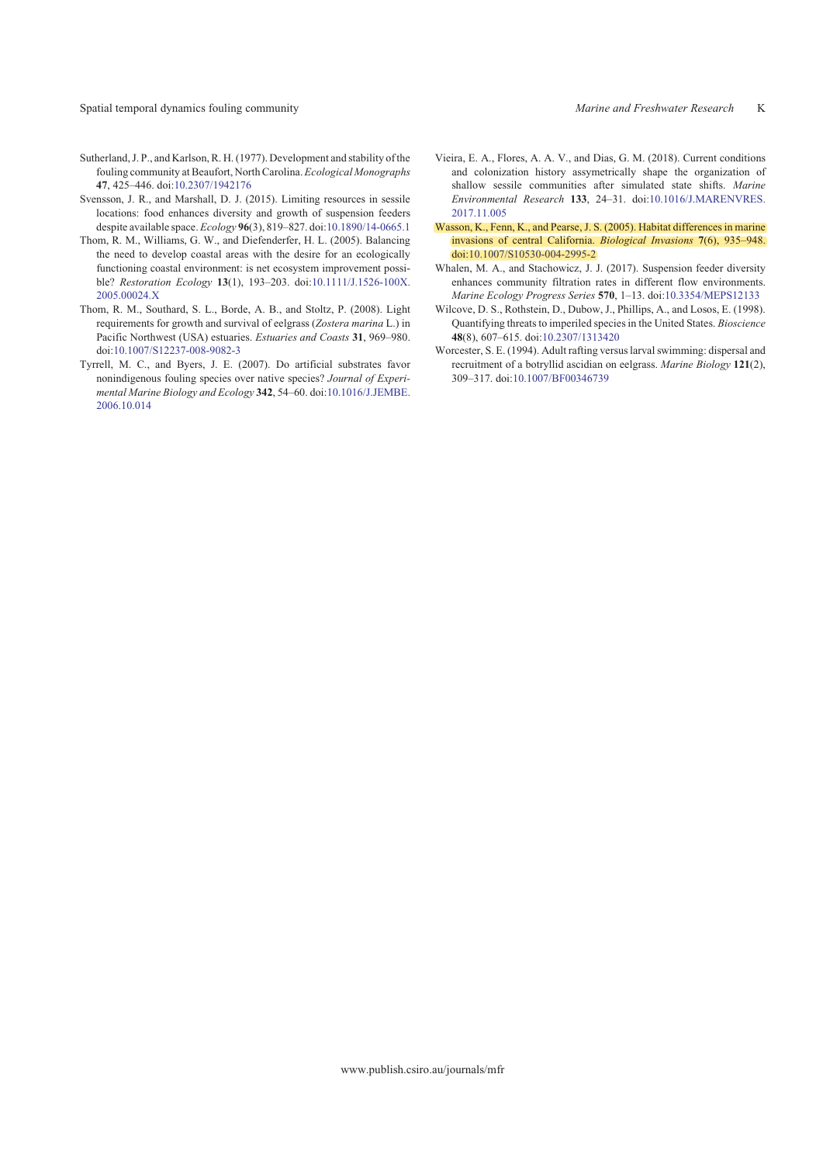<span id="page-10-0"></span>Spatial temporal dynamics fouling community *Marine and Freshwater Research* K

- Sutherland, J. P., and Karlson, R. H. (1977). Development and stability of the fouling community at Beaufort, North Carolina.*Ecological Monographs* **47**, 425–446. doi[:10.2307/1942176](http://dx.doi.org/10.2307/1942176)
- Svensson, J. R., and Marshall, D. J. (2015). Limiting resources in sessile locations: food enhances diversity and growth of suspension feeders despite available space. *Ecology* **96**(3), 819–827. doi[:10.1890/14-0665.1](http://dx.doi.org/10.1890/14-0665.1)
- Thom, R. M., Williams, G. W., and Diefenderfer, H. L. (2005). Balancing the need to develop coastal areas with the desire for an ecologically functioning coastal environment: is net ecosystem improvement possible? *Restoration Ecology* **13**(1), 193–203. doi:[10.1111/J.1526-100X.](http://dx.doi.org/10.1111/J.1526-100X.2005.00024.X) [2005.00024.X](http://dx.doi.org/10.1111/J.1526-100X.2005.00024.X)
- Thom, R. M., Southard, S. L., Borde, A. B., and Stoltz, P. (2008). Light requirements for growth and survival of eelgrass (*Zostera marina* L.) in Pacific Northwest (USA) estuaries. *Estuaries and Coasts* **31**, 969–980. doi[:10.1007/S12237-008-9082-3](http://dx.doi.org/10.1007/S12237-008-9082-3)
- Tyrrell, M. C., and Byers, J. E. (2007). Do artificial substrates favor nonindigenous fouling species over native species? *Journal of Experimental Marine Biology and Ecology* **342**, 54–60. doi:[10.1016/J.JEMBE.](http://dx.doi.org/10.1016/J.JEMBE.2006.10.014) [2006.10.014](http://dx.doi.org/10.1016/J.JEMBE.2006.10.014)
- Vieira, E. A., Flores, A. A. V., and Dias, G. M. (2018). Current conditions and colonization history assymetrically shape the organization of shallow sessile communities after simulated state shifts. *Marine Environmental Research* **133**, 24–31. doi:[10.1016/J.MARENVRES.](http://dx.doi.org/10.1016/J.MARENVRES.2017.11.005) [2017.11.005](http://dx.doi.org/10.1016/J.MARENVRES.2017.11.005)
- Wasson, K., Fenn, K., and Pearse, J. S. (2005). Habitat differences in marine invasions of central California. *Biological Invasions* **7**(6), 935–948. doi[:10.1007/S10530-004-2995-2](http://dx.doi.org/10.1007/S10530-004-2995-2)
- Whalen, M. A., and Stachowicz, J. J. (2017). Suspension feeder diversity enhances community filtration rates in different flow environments. *Marine Ecology Progress Series* **570**, 1–13. doi[:10.3354/MEPS12133](http://dx.doi.org/10.3354/MEPS12133)
- Wilcove, D. S., Rothstein, D., Dubow, J., Phillips, A., and Losos, E. (1998). Quantifying threats to imperiled species in the United States. *Bioscience* **48**(8), 607–615. doi[:10.2307/1313420](http://dx.doi.org/10.2307/1313420)
- Worcester, S. E. (1994). Adult rafting versus larval swimming: dispersal and recruitment of a botryllid ascidian on eelgrass. *Marine Biology* **121**(2), 309–317. doi[:10.1007/BF00346739](http://dx.doi.org/10.1007/BF00346739)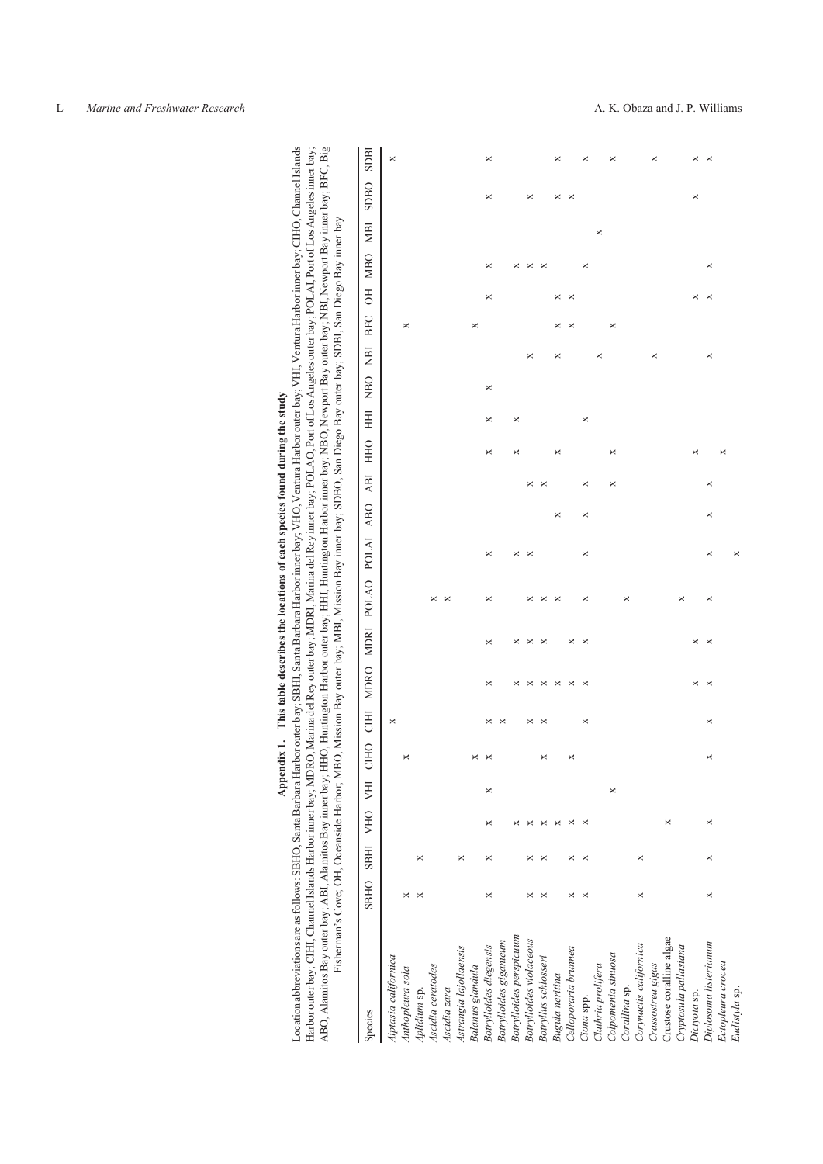| Fisherman's Cove; OH, Oceanside Harbor; MBO, Mission Bay outer bay; MBI, Mission Bay inner bay; SDBO, San Diego Bay outer bay; SDBI, San Diego Bay inner bay |             |             |     |     |      |             |      |             |              |       |            |     |     |     |                       |   |                  |     |     |             |      |
|--------------------------------------------------------------------------------------------------------------------------------------------------------------|-------------|-------------|-----|-----|------|-------------|------|-------------|--------------|-------|------------|-----|-----|-----|-----------------------|---|------------------|-----|-----|-------------|------|
| Species                                                                                                                                                      | <b>SBHO</b> | <b>THES</b> | VHO | VHI | CHIO | <b>CIHI</b> | MDRO | <b>MDRI</b> | <b>POLAO</b> | POLAI | <b>ABO</b> | ABI | HHO | HHI | ΒI<br>NB <sub>O</sub> |   | ЭH<br><b>BFC</b> | MВO | MВI | <b>OBCS</b> | SDBI |
| Aiptasia californica                                                                                                                                         |             |             |     |     |      | ×           |      |             |              |       |            |     |     |     |                       |   |                  |     |     |             | ×    |
| Anthopleura sola                                                                                                                                             | ×           |             |     |     | ×    |             |      |             |              |       |            |     |     |     |                       | × |                  |     |     |             |      |
| Aplidium sp.                                                                                                                                                 | ×           | ×           |     |     |      |             |      |             |              |       |            |     |     |     |                       |   |                  |     |     |             |      |
| Ascidia ceratodes                                                                                                                                            |             |             |     |     |      |             |      |             | ×            |       |            |     |     |     |                       |   |                  |     |     |             |      |
| Ascidia zara                                                                                                                                                 |             |             |     |     |      |             |      |             | ×            |       |            |     |     |     |                       |   |                  |     |     |             |      |
| Astrangia lajollaensis                                                                                                                                       |             | ×           |     |     |      |             |      |             |              |       |            |     |     |     |                       |   |                  |     |     |             |      |
| Balanus glandula                                                                                                                                             |             |             |     |     | ×    |             |      |             |              |       |            |     |     |     |                       |   | ×                |     |     |             |      |
| <b>Botrylloides</b> diegensis                                                                                                                                | ×           | ×           | ×   | ×   | ×    | ×           | ×    | ×           | ×            | ×     |            |     | ×   | ×   | ×                     |   | ×                | ×   |     | ×           | ×    |
| <b>Botrylloides</b> giganteum                                                                                                                                |             |             |     |     |      | ×           |      |             |              |       |            |     |     |     |                       |   |                  |     |     |             |      |
| Botrylloides perspicuum                                                                                                                                      |             |             | ×   |     |      |             | ×    | ×           |              | ×     |            |     | ×   | ×   |                       |   |                  | ×   |     |             |      |
| Botrylloides violaceous                                                                                                                                      | ×           |             | ×   |     |      | ×           | ×    | ×           | ×            | ×     |            | ×   |     |     | ×                     |   |                  | ×   |     | ×           |      |
| Botryllus schlosseri                                                                                                                                         |             |             | ×   |     | ×    | ×           | ×    | ×           | ×            |       |            | ×   |     |     |                       |   |                  | ×   |     |             |      |
| <b>Bugula</b> neritina                                                                                                                                       |             |             | ×   |     |      |             | ×    |             | ×            |       | ×          |     | ×   |     | ×                     |   | ×<br>×           |     |     | ×           | ×    |
| Celloporaria brunnea                                                                                                                                         | ×           | ×           | ×   |     | ×    |             | ×    | ×           |              |       |            |     |     |     |                       |   | ×<br>×           |     |     | ×           |      |
| Ciona spp.                                                                                                                                                   |             |             |     |     |      | ×           | ×    | ×           | ×            | ×     | ×          | ×   |     | ×   |                       |   |                  | ×   |     |             | ×    |
| Clathria prolifera                                                                                                                                           |             |             |     |     |      |             |      |             |              |       |            |     |     |     | ×                     |   |                  |     | ×   |             |      |
| Colpomenia sinuosa                                                                                                                                           |             |             |     | ×   |      |             |      |             |              |       |            | ×   | ×   |     |                       |   | ×                |     |     |             | ×    |
| Corallina sp.                                                                                                                                                |             |             |     |     |      |             |      |             | ×            |       |            |     |     |     |                       |   |                  |     |     |             |      |
| Corynactis californica                                                                                                                                       | ×           | ×           |     |     |      |             |      |             |              |       |            |     |     |     |                       |   |                  |     |     |             |      |
| Crassostrea gigas                                                                                                                                            |             |             |     |     |      |             |      |             |              |       |            |     |     |     | ×                     |   |                  |     |     |             | ×    |
| Crustose coralline algae                                                                                                                                     |             |             | ×   |     |      |             |      |             |              |       |            |     |     |     |                       |   |                  |     |     |             |      |
| Cryptosula pallasiana                                                                                                                                        |             |             |     |     |      |             |      |             | ×            |       |            |     |     |     |                       |   |                  |     |     |             |      |
| Dictyota sp.                                                                                                                                                 |             |             |     |     |      |             | ×    | ×           |              |       |            |     | ×   |     |                       |   | ×                |     |     | ×           | ×    |
| Diplosoma listerianum                                                                                                                                        | ×           | ×           | ×   |     | ×    | ×           | ×    | ×           | ×            | ×     | ×          | ×   |     |     | ×                     |   | ×                | ×   |     |             | ×    |
| Ectopleura crocea                                                                                                                                            |             |             |     |     |      |             |      |             |              |       |            |     | ×   |     |                       |   |                  |     |     |             |      |
| Eudistyla sp.                                                                                                                                                |             |             |     |     |      |             |      |             |              | ×     |            |     |     |     |                       |   |                  |     |     |             |      |

Appendix 1. This table describes the locations of each species found during the study Appendix 1. This table describes the locations of each species found during the study

<span id="page-11-0"></span>Harbor outer bay, CHH, Chamel Islands Harbor inner bay; MDRO, Marina del Rey outer bay; MDRI, Marina del Rey inner bay; POLAO, Port of Los Ángeles outer bay; POLAI, Port of Los Ángeles inner bay;<br>ABO, Alamitos Bay outer ba Location abbreviations are as follows: SBHO, Santa Barbara Harbor outer bay; SBHI, Santa Barbor inner bay; VHO, Ventura Harbor outer bay; VHI, Ventura Harbor inner bay; CIHO, Channel Islands Location abbreviations are as follows: SBHO, Santa Barbara Harbor outer bay; SBHI, Santa Barbara Harbor inner bay; VHO, Ventura Harbor outer bay; VHI, Ventura Harbor inner bay; CIHO, Channel Islands ABO, Alamitos Bay outer bay; ABI, Alamitos Bay inner bay; HHO, Huntington Harbor outer bay; HHI, Huntington Harbor inner bay; NBO, Newport Bay outer bay; NBI, Newport Bay inner bay; BFC, Big Harbor outer bay; CIHI, Channel Islands Harbor inner bay; MDRO, Marina del Rey outer bay; MDRI, Marina del Rey inner bay; POLAO, Port of Los Angeles outer bay; POLAI, Port of Los Angeles inner bay;